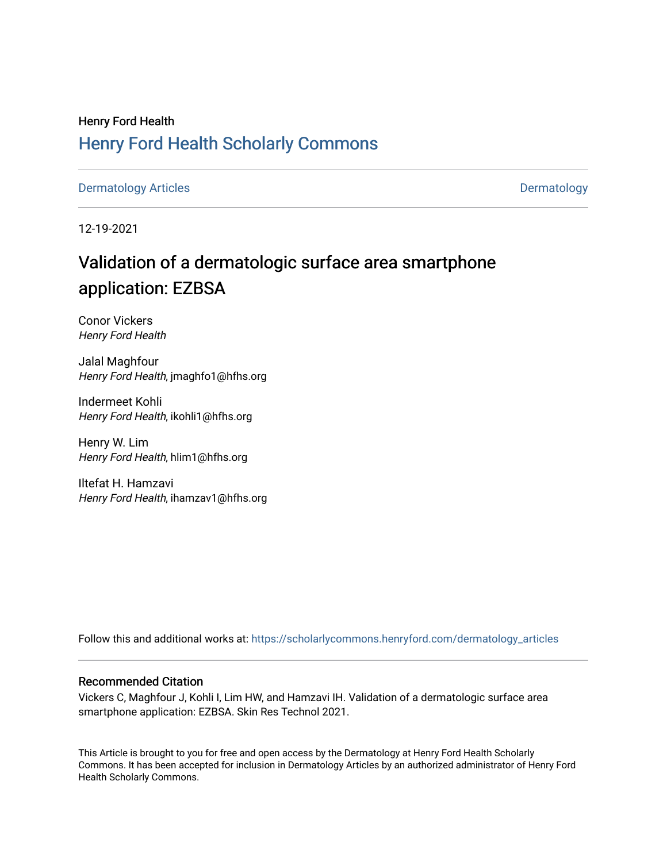## Henry Ford Health [Henry Ford Health Scholarly Commons](https://scholarlycommons.henryford.com/)

[Dermatology Articles](https://scholarlycommons.henryford.com/dermatology_articles) **Dermatology** 

12-19-2021

# Validation of a dermatologic surface area smartphone application: EZBSA

Conor Vickers Henry Ford Health

Jalal Maghfour Henry Ford Health, jmaghfo1@hfhs.org

Indermeet Kohli Henry Ford Health, ikohli1@hfhs.org

Henry W. Lim Henry Ford Health, hlim1@hfhs.org

Iltefat H. Hamzavi Henry Ford Health, ihamzav1@hfhs.org

Follow this and additional works at: [https://scholarlycommons.henryford.com/dermatology\\_articles](https://scholarlycommons.henryford.com/dermatology_articles?utm_source=scholarlycommons.henryford.com%2Fdermatology_articles%2F623&utm_medium=PDF&utm_campaign=PDFCoverPages)

### Recommended Citation

Vickers C, Maghfour J, Kohli I, Lim HW, and Hamzavi IH. Validation of a dermatologic surface area smartphone application: EZBSA. Skin Res Technol 2021.

This Article is brought to you for free and open access by the Dermatology at Henry Ford Health Scholarly Commons. It has been accepted for inclusion in Dermatology Articles by an authorized administrator of Henry Ford Health Scholarly Commons.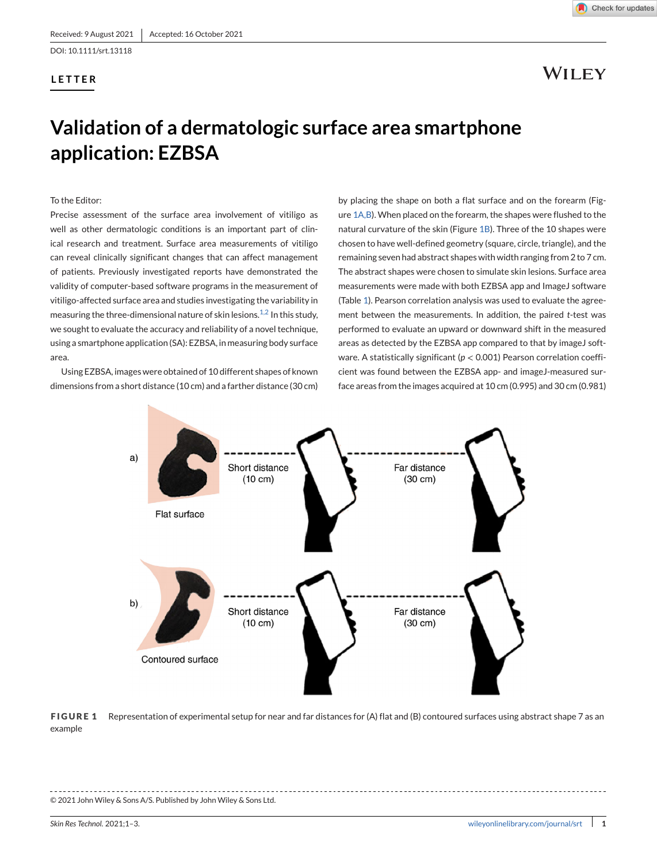DOI: 10.1111/srt.13118

### **LETTER**

Check for updates

## WILEY

# **Validation of a dermatologic surface area smartphone application: EZBSA**

To the Editor:

Precise assessment of the surface area involvement of vitiligo as well as other dermatologic conditions is an important part of clinical research and treatment. Surface area measurements of vitiligo can reveal clinically significant changes that can affect management of patients. Previously investigated reports have demonstrated the validity of computer-based software programs in the measurement of vitiligo-affected surface area and studies investigating the variability in measuring the three-dimensional nature of skin lesions.<sup>[1,2](#page-3-0)</sup> In this study, we sought to evaluate the accuracy and reliability of a novel technique, using a smartphone application (SA): EZBSA, in measuring body surface area.

Using EZBSA, images were obtained of 10 different shapes of known dimensions from a short distance (10 cm) and a farther distance (30 cm)

by placing the shape on both a flat surface and on the forearm (Figure 1A,B). When placed on the forearm, the shapes were flushed to the natural curvature of the skin (Figure 1B). Three of the 10 shapes were chosen to have well-defined geometry (square, circle, triangle), and the remaining seven had abstract shapes with width ranging from 2 to 7 cm. The abstract shapes were chosen to simulate skin lesions. Surface area measurements were made with both EZBSA app and ImageJ software (Table [1\)](#page-2-0). Pearson correlation analysis was used to evaluate the agreement between the measurements. In addition, the paired *t*-test was performed to evaluate an upward or downward shift in the measured areas as detected by the EZBSA app compared to that by imageJ software. A statistically significant (*p* < 0.001) Pearson correlation coefficient was found between the EZBSA app- and imageJ-measured surface areas from the images acquired at 10 cm (0.995) and 30 cm (0.981)



**FIGURE 1** Representation of experimental setup for near and far distances for (A) flat and (B) contoured surfaces using abstract shape 7 as an example

### © 2021 John Wiley & Sons A/S. Published by John Wiley & Sons Ltd.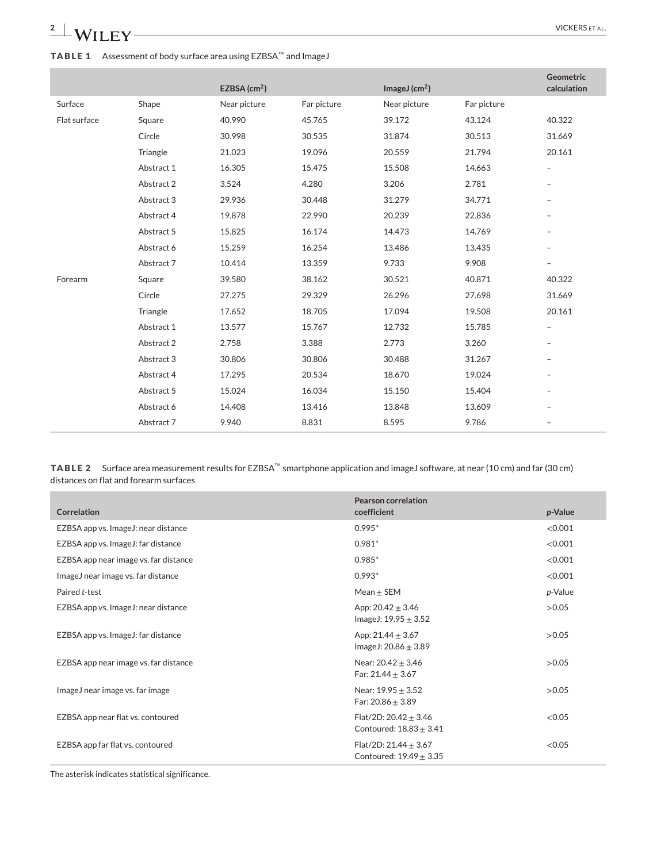## <span id="page-2-0"></span>**2** WILEY WERE ET AL. **TABLE 1** Assessment of body surface area using EZBSA™ and ImageJ

|              |            | EZBSA $(cm2)$ |             | ImageJ $(cm2)$ |             | Geometric<br>calculation |
|--------------|------------|---------------|-------------|----------------|-------------|--------------------------|
| Surface      | Shape      | Near picture  | Far picture | Near picture   | Far picture |                          |
| Flat surface | Square     | 40.990        | 45.765      | 39.172         | 43.124      | 40.322                   |
|              | Circle     | 30.998        | 30.535      | 31.874         | 30.513      | 31.669                   |
|              | Triangle   | 21.023        | 19.096      | 20.559         | 21.794      | 20.161                   |
|              | Abstract 1 | 16.305        | 15.475      | 15.508         | 14.663      | $\overline{\phantom{a}}$ |
|              | Abstract 2 | 3.524         | 4.280       | 3.206          | 2.781       | $\overline{\phantom{m}}$ |
|              | Abstract 3 | 29.936        | 30.448      | 31.279         | 34.771      | $\overline{\phantom{0}}$ |
|              | Abstract 4 | 19.878        | 22.990      | 20.239         | 22.836      | $\overline{\phantom{m}}$ |
|              | Abstract 5 | 15.825        | 16.174      | 14.473         | 14.769      | $\overline{\phantom{a}}$ |
|              | Abstract 6 | 15.259        | 16.254      | 13.486         | 13.435      | $\overline{\phantom{a}}$ |
|              | Abstract 7 | 10.414        | 13.359      | 9.733          | 9.908       | $\qquad \qquad -$        |
| Forearm      | Square     | 39.580        | 38.162      | 30.521         | 40.871      | 40.322                   |
|              | Circle     | 27.275        | 29.329      | 26.296         | 27.698      | 31.669                   |
|              | Triangle   | 17.652        | 18.705      | 17.094         | 19.508      | 20.161                   |
|              | Abstract 1 | 13.577        | 15.767      | 12.732         | 15.785      | $\overline{\phantom{0}}$ |
|              | Abstract 2 | 2.758         | 3.388       | 2.773          | 3.260       | $\overline{\phantom{a}}$ |
|              | Abstract 3 | 30.806        | 30.806      | 30.488         | 31.267      | -                        |
|              | Abstract 4 | 17.295        | 20.534      | 18.670         | 19.024      | $\overline{\phantom{0}}$ |
|              | Abstract 5 | 15.024        | 16.034      | 15.150         | 15.404      | -                        |
|              | Abstract 6 | 14.408        | 13.416      | 13.848         | 13.609      |                          |
|              | Abstract 7 | 9.940         | 8.831       | 8.595          | 9.786       | $\overline{\phantom{m}}$ |

**TABLE 2** Surface area measurement results for EZBSA™ smartphone application and imageJ software, at near (10 cm) and far (30 cm) distances on flat and forearm surfaces

| <b>Correlation</b>                    | <b>Pearson correlation</b><br>coefficient                | p-Value |
|---------------------------------------|----------------------------------------------------------|---------|
| EZBSA app vs. ImageJ: near distance   | $0.995*$                                                 | < 0.001 |
| EZBSA app vs. ImageJ: far distance    | $0.981*$                                                 | < 0.001 |
| EZBSA app near image vs. far distance | $0.985*$                                                 | < 0.001 |
| ImageJ near image vs. far distance    | $0.993*$                                                 | < 0.001 |
| Paired t-test                         | Mean $\pm$ SEM                                           | p-Value |
| EZBSA app vs. ImageJ: near distance   | App: $20.42 \pm 3.46$<br>ImageJ: $19.95 \pm 3.52$        | >0.05   |
| EZBSA app vs. ImageJ: far distance    | App: $21.44 \pm 3.67$<br>ImageJ: $20.86 \pm 3.89$        | >0.05   |
| EZBSA app near image vs. far distance | Near: $20.42 \pm 3.46$<br>Far: $21.44 \pm 3.67$          | >0.05   |
| ImageJ near image vs. far image       | Near: $19.95 \pm 3.52$<br>Far: $20.86 \pm 3.89$          | >0.05   |
| EZBSA app near flat vs. contoured     | Flat/2D: $20.42 \pm 3.46$<br>Contoured: $18.83 \pm 3.41$ | < 0.05  |
| EZBSA app far flat vs. contoured      | Flat/2D: $21.44 \pm 3.67$<br>Contoured: $19.49 \pm 3.35$ | < 0.05  |

The asterisk indicates statistical significance.